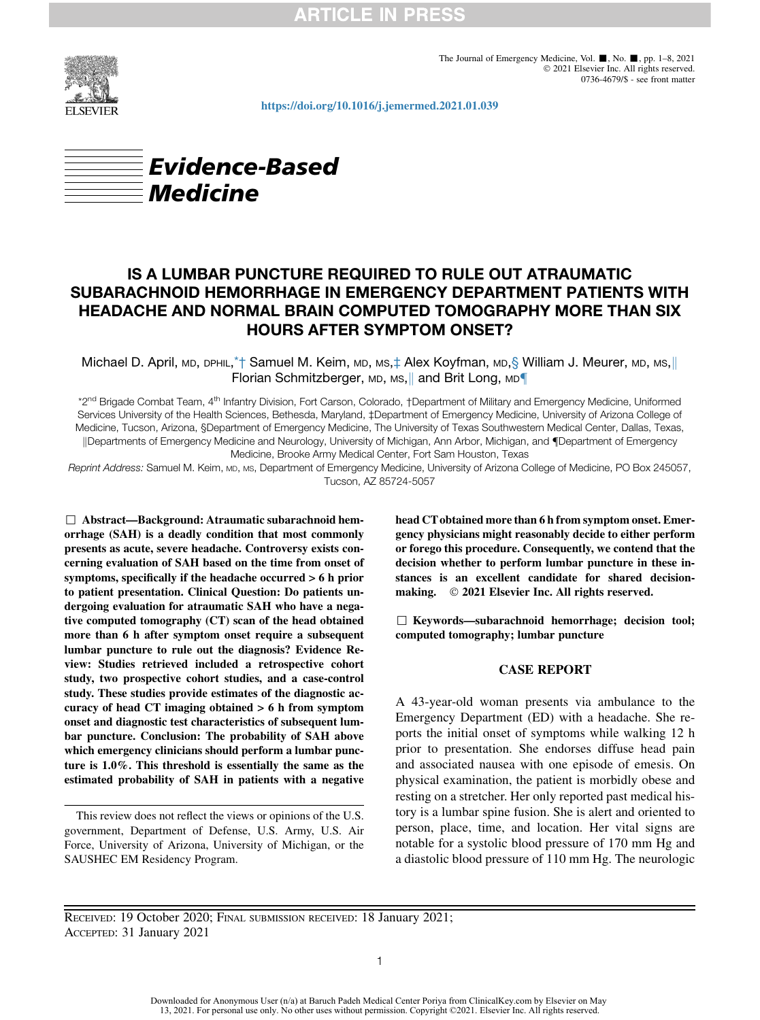

The Journal of Emergency Medicine, Vol.  $\blacksquare$ , No.  $\blacksquare$ , pp. 1-8, 2021 2021 Elsevier Inc. All rights reserved. 0736-4679/\$ - see front matter

<https://doi.org/10.1016/j.jemermed.2021.01.039>



# IS A LUMBAR PUNCTURE REQUIRED TO RULE OUT ATRAUMATIC SUBARACHNOID HEMORRHAGE IN EMERGENCY DEPARTMENT PATIENTS WITH HEADACHE AND NORMAL BRAIN COMPUTED TOMOGRAPHY MORE THAN SIX HOURS AFTER SYMPTOM ONSET?

Michael D. April, MD, DPHIL,[\\*](#page-0-0)† Samuel M. Keim, MD, MS,‡ Alex Koyfman, MD,§ William J. Meurer, MD, MS,|| Florian Schmitzberger, MD, MS, and Brit Long, MD

<span id="page-0-0"></span>\*2<sup>nd</sup> Brigade Combat Team, 4<sup>th</sup> Infantry Division, Fort Carson, Colorado, †Department of Military and Emergency Medicine, Uniformed Services University of the Health Sciences, Bethesda, Maryland, ‡Department of Emergency Medicine, University of Arizona College of Medicine, Tucson, Arizona, §Department of Emergency Medicine, The University of Texas Southwestern Medical Center, Dallas, Texas, ||Departments of Emergency Medicine and Neurology, University of Michigan, Ann Arbor, Michigan, and ¶Department of Emergency Medicine, Brooke Army Medical Center, Fort Sam Houston, Texas

Reprint Address: Samuel M. Keim, MD, MS, Department of Emergency Medicine, University of Arizona College of Medicine, PO Box 245057, Tucson, AZ 85724-5057

 $\Box$  Abstract—Background: Atraumatic subarachnoid hemorrhage (SAH) is a deadly condition that most commonly presents as acute, severe headache. Controversy exists concerning evaluation of SAH based on the time from onset of symptoms, specifically if the headache occurred > 6 h prior to patient presentation. Clinical Question: Do patients undergoing evaluation for atraumatic SAH who have a negative computed tomography (CT) scan of the head obtained more than 6 h after symptom onset require a subsequent lumbar puncture to rule out the diagnosis? Evidence Review: Studies retrieved included a retrospective cohort study, two prospective cohort studies, and a case-control study. These studies provide estimates of the diagnostic accuracy of head CT imaging obtained > 6 h from symptom onset and diagnostic test characteristics of subsequent lumbar puncture. Conclusion: The probability of SAH above which emergency clinicians should perform a lumbar puncture is 1.0%. This threshold is essentially the same as the estimated probability of SAH in patients with a negative

This review does not reflect the views or opinions of the U.S. government, Department of Defense, U.S. Army, U.S. Air Force, University of Arizona, University of Michigan, or the SAUSHEC EM Residency Program.

head CT obtained more than 6 h from symptom onset. Emergency physicians might reasonably decide to either perform or forego this procedure. Consequently, we contend that the decision whether to perform lumbar puncture in these instances is an excellent candidate for shared decisionmaking. © 2021 Elsevier Inc. All rights reserved.

 $\Box$  Keywords—subarachnoid hemorrhage; decision tool; computed tomography; lumbar puncture

### CASE REPORT

A 43-year-old woman presents via ambulance to the Emergency Department (ED) with a headache. She reports the initial onset of symptoms while walking 12 h prior to presentation. She endorses diffuse head pain and associated nausea with one episode of emesis. On physical examination, the patient is morbidly obese and resting on a stretcher. Her only reported past medical history is a lumbar spine fusion. She is alert and oriented to person, place, time, and location. Her vital signs are notable for a systolic blood pressure of 170 mm Hg and a diastolic blood pressure of 110 mm Hg. The neurologic

RECEIVED: 19 October 2020; FINAL SUBMISSION RECEIVED: 18 January 2021; ACCEPTED: 31 January 2021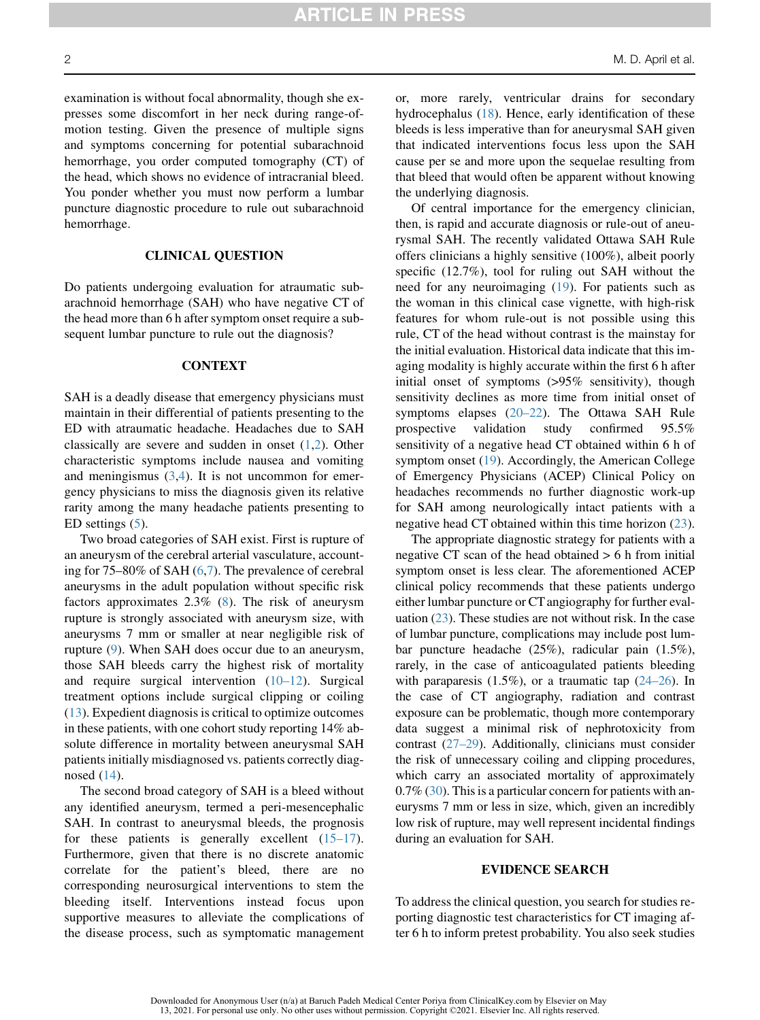examination is without focal abnormality, though she expresses some discomfort in her neck during range-ofmotion testing. Given the presence of multiple signs and symptoms concerning for potential subarachnoid hemorrhage, you order computed tomography (CT) of the head, which shows no evidence of intracranial bleed. You ponder whether you must now perform a lumbar puncture diagnostic procedure to rule out subarachnoid hemorrhage.

## CLINICAL QUESTION

Do patients undergoing evaluation for atraumatic subarachnoid hemorrhage (SAH) who have negative CT of the head more than 6 h after symptom onset require a subsequent lumbar puncture to rule out the diagnosis?

## **CONTEXT**

SAH is a deadly disease that emergency physicians must maintain in their differential of patients presenting to the ED with atraumatic headache. Headaches due to SAH classically are severe and sudden in onset ([1](#page-5-0)[,2](#page-5-1)). Other characteristic symptoms include nausea and vomiting and meningismus  $(3,4)$  $(3,4)$  $(3,4)$ . It is not uncommon for emergency physicians to miss the diagnosis given its relative rarity among the many headache patients presenting to ED settings ([5\)](#page-5-4).

Two broad categories of SAH exist. First is rupture of an aneurysm of the cerebral arterial vasculature, accounting for 75–80% of SAH [\(6](#page-5-5),[7\)](#page-5-6). The prevalence of cerebral aneurysms in the adult population without specific risk factors approximates 2.3% [\(8](#page-5-7)). The risk of aneurysm rupture is strongly associated with aneurysm size, with aneurysms 7 mm or smaller at near negligible risk of rupture [\(9](#page-5-8)). When SAH does occur due to an aneurysm, those SAH bleeds carry the highest risk of mortality and require surgical intervention ([10–12\)](#page-5-9). Surgical treatment options include surgical clipping or coiling [\(13](#page-5-10)). Expedient diagnosis is critical to optimize outcomes in these patients, with one cohort study reporting 14% absolute difference in mortality between aneurysmal SAH patients initially misdiagnosed vs. patients correctly diagnosed [\(14](#page-6-0)).

The second broad category of SAH is a bleed without any identified aneurysm, termed a peri-mesencephalic SAH. In contrast to aneurysmal bleeds, the prognosis for these patients is generally excellent  $(15-17)$ . Furthermore, given that there is no discrete anatomic correlate for the patient's bleed, there are no corresponding neurosurgical interventions to stem the bleeding itself. Interventions instead focus upon supportive measures to alleviate the complications of the disease process, such as symptomatic management or, more rarely, ventricular drains for secondary hydrocephalus ([18\)](#page-6-2). Hence, early identification of these bleeds is less imperative than for aneurysmal SAH given that indicated interventions focus less upon the SAH cause per se and more upon the sequelae resulting from that bleed that would often be apparent without knowing the underlying diagnosis.

Of central importance for the emergency clinician, then, is rapid and accurate diagnosis or rule-out of aneurysmal SAH. The recently validated Ottawa SAH Rule offers clinicians a highly sensitive (100%), albeit poorly specific (12.7%), tool for ruling out SAH without the need for any neuroimaging ([19\)](#page-6-3). For patients such as the woman in this clinical case vignette, with high-risk features for whom rule-out is not possible using this rule, CT of the head without contrast is the mainstay for the initial evaluation. Historical data indicate that this imaging modality is highly accurate within the first 6 h after initial onset of symptoms (>95% sensitivity), though sensitivity declines as more time from initial onset of symptoms elapses ([20–22](#page-6-4)). The Ottawa SAH Rule prospective validation study confirmed 95.5% sensitivity of a negative head CT obtained within 6 h of symptom onset ([19\)](#page-6-3). Accordingly, the American College of Emergency Physicians (ACEP) Clinical Policy on headaches recommends no further diagnostic work-up for SAH among neurologically intact patients with a negative head CT obtained within this time horizon [\(23](#page-6-5)).

The appropriate diagnostic strategy for patients with a negative CT scan of the head obtained > 6 h from initial symptom onset is less clear. The aforementioned ACEP clinical policy recommends that these patients undergo either lumbar puncture or CT angiography for further evaluation  $(23)$  $(23)$ . These studies are not without risk. In the case of lumbar puncture, complications may include post lumbar puncture headache (25%), radicular pain (1.5%), rarely, in the case of anticoagulated patients bleeding with paraparesis  $(1.5\%)$ , or a traumatic tap  $(24-26)$ . In the case of CT angiography, radiation and contrast exposure can be problematic, though more contemporary data suggest a minimal risk of nephrotoxicity from contrast [\(27–29](#page-6-7)). Additionally, clinicians must consider the risk of unnecessary coiling and clipping procedures, which carry an associated mortality of approximately 0.7% ([30](#page-6-8)). This is a particular concern for patients with aneurysms 7 mm or less in size, which, given an incredibly low risk of rupture, may well represent incidental findings during an evaluation for SAH.

## EVIDENCE SEARCH

To address the clinical question, you search for studies reporting diagnostic test characteristics for CT imaging after 6 h to inform pretest probability. You also seek studies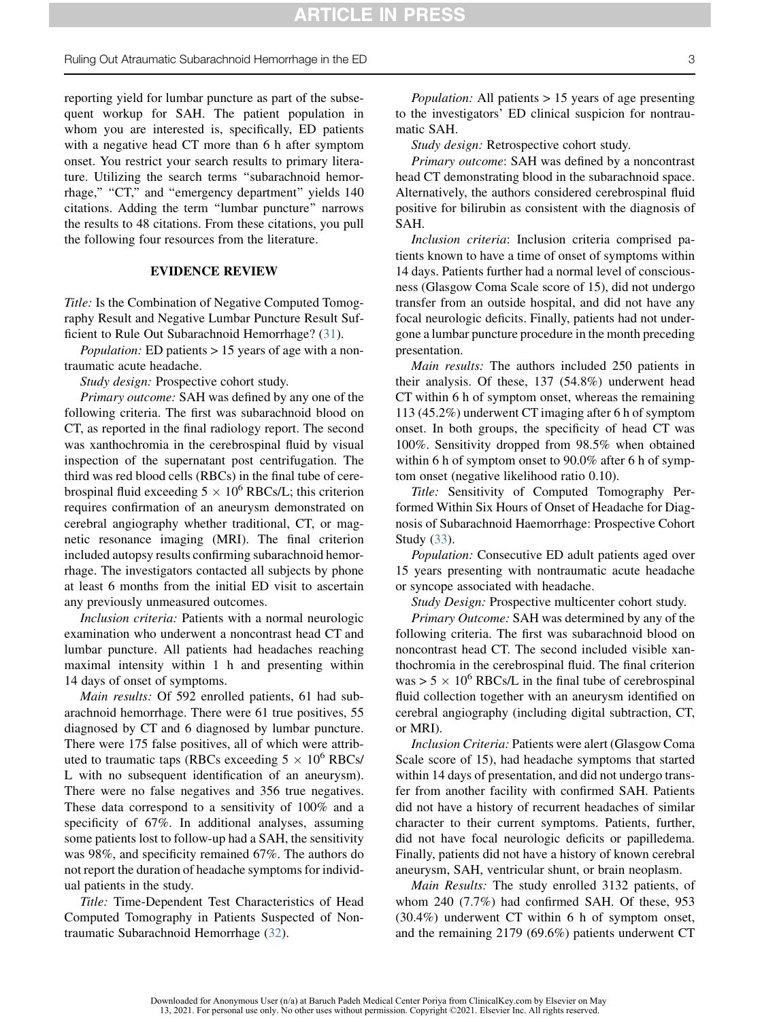Ruling Out Atraumatic Subarachnoid Hemorrhage in the ED 3

reporting yield for lumbar puncture as part of the subsequent workup for SAH. The patient population in whom you are interested is, specifically, ED patients with a negative head CT more than 6 h after symptom onset. You restrict your search results to primary literature. Utilizing the search terms ''subarachnoid hemorrhage," "CT," and "emergency department" yields 140 citations. Adding the term ''lumbar puncture'' narrows the results to 48 citations. From these citations, you pull the following four resources from the literature.

#### EVIDENCE REVIEW

Title: Is the Combination of Negative Computed Tomography Result and Negative Lumbar Puncture Result Sufficient to Rule Out Subarachnoid Hemorrhage? [\(31](#page-6-9)).

Population: ED patients > 15 years of age with a nontraumatic acute headache.

Study design: Prospective cohort study.

Primary outcome: SAH was defined by any one of the following criteria. The first was subarachnoid blood on CT, as reported in the final radiology report. The second was xanthochromia in the cerebrospinal fluid by visual inspection of the supernatant post centrifugation. The third was red blood cells (RBCs) in the final tube of cerebrospinal fluid exceeding  $5 \times 10^6$  RBCs/L; this criterion requires confirmation of an aneurysm demonstrated on cerebral angiography whether traditional, CT, or magnetic resonance imaging (MRI). The final criterion included autopsy results confirming subarachnoid hemorrhage. The investigators contacted all subjects by phone at least 6 months from the initial ED visit to ascertain any previously unmeasured outcomes.

Inclusion criteria: Patients with a normal neurologic examination who underwent a noncontrast head CT and lumbar puncture. All patients had headaches reaching maximal intensity within 1 h and presenting within 14 days of onset of symptoms.

Main results: Of 592 enrolled patients, 61 had subarachnoid hemorrhage. There were 61 true positives, 55 diagnosed by CT and 6 diagnosed by lumbar puncture. There were 175 false positives, all of which were attributed to traumatic taps (RBCs exceeding  $5 \times 10^6$  RBCs/ L with no subsequent identification of an aneurysm). There were no false negatives and 356 true negatives. These data correspond to a sensitivity of 100% and a specificity of 67%. In additional analyses, assuming some patients lost to follow-up had a SAH, the sensitivity was 98%, and specificity remained 67%. The authors do not report the duration of headache symptoms for individual patients in the study.

Title: Time-Dependent Test Characteristics of Head Computed Tomography in Patients Suspected of Nontraumatic Subarachnoid Hemorrhage ([32\)](#page-6-10).

*Population:* All patients  $> 15$  years of age presenting to the investigators' ED clinical suspicion for nontraumatic SAH.

Study design: Retrospective cohort study.

Primary outcome: SAH was defined by a noncontrast head CT demonstrating blood in the subarachnoid space. Alternatively, the authors considered cerebrospinal fluid positive for bilirubin as consistent with the diagnosis of SAH.

Inclusion criteria: Inclusion criteria comprised patients known to have a time of onset of symptoms within 14 days. Patients further had a normal level of consciousness (Glasgow Coma Scale score of 15), did not undergo transfer from an outside hospital, and did not have any focal neurologic deficits. Finally, patients had not undergone a lumbar puncture procedure in the month preceding presentation.

Main results: The authors included 250 patients in their analysis. Of these, 137 (54.8%) underwent head CT within 6 h of symptom onset, whereas the remaining 113 (45.2%) underwent CT imaging after 6 h of symptom onset. In both groups, the specificity of head CT was 100%. Sensitivity dropped from 98.5% when obtained within 6 h of symptom onset to 90.0% after 6 h of symptom onset (negative likelihood ratio 0.10).

Title: Sensitivity of Computed Tomography Performed Within Six Hours of Onset of Headache for Diagnosis of Subarachnoid Haemorrhage: Prospective Cohort Study [\(33](#page-6-11)).

Population: Consecutive ED adult patients aged over 15 years presenting with nontraumatic acute headache or syncope associated with headache.

Study Design: Prospective multicenter cohort study.

Primary Outcome: SAH was determined by any of the following criteria. The first was subarachnoid blood on noncontrast head CT. The second included visible xanthochromia in the cerebrospinal fluid. The final criterion was  $> 5 \times 10^6$  RBCs/L in the final tube of cerebrospinal fluid collection together with an aneurysm identified on cerebral angiography (including digital subtraction, CT, or MRI).

Inclusion Criteria: Patients were alert (Glasgow Coma Scale score of 15), had headache symptoms that started within 14 days of presentation, and did not undergo transfer from another facility with confirmed SAH. Patients did not have a history of recurrent headaches of similar character to their current symptoms. Patients, further, did not have focal neurologic deficits or papilledema. Finally, patients did not have a history of known cerebral aneurysm, SAH, ventricular shunt, or brain neoplasm.

Main Results: The study enrolled 3132 patients, of whom 240 (7.7%) had confirmed SAH. Of these, 953 (30.4%) underwent CT within 6 h of symptom onset, and the remaining 2179 (69.6%) patients underwent CT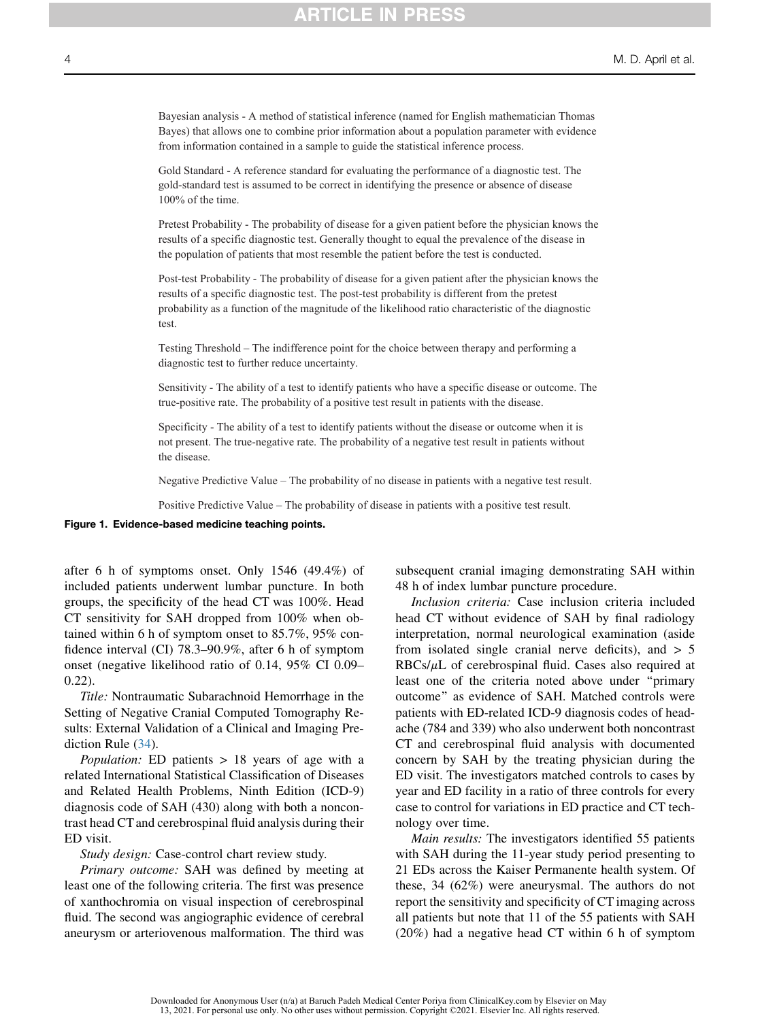<span id="page-3-0"></span>Bayesian analysis - A method of statistical inference (named for English mathematician Thomas Bayes) that allows one to combine prior information about a population parameter with evidence from information contained in a sample to guide the statistical inference process.

Gold Standard - A reference standard for evaluating the performance of a diagnostic test. The gold-standard test is assumed to be correct in identifying the presence or absence of disease 100% of the time.

Pretest Probability - The probability of disease for a given patient before the physician knows the results of a specific diagnostic test. Generally thought to equal the prevalence of the disease in the population of patients that most resemble the patient before the test is conducted.

Post-test Probability - The probability of disease for a given patient after the physician knows the results of a specific diagnostic test. The post-test probability is different from the pretest probability as a function of the magnitude of the likelihood ratio characteristic of the diagnostic test.

Testing Threshold – The indifference point for the choice between therapy and performing a diagnostic test to further reduce uncertainty.

Sensitivity - The ability of a test to identify patients who have a specific disease or outcome. The true-positive rate. The probability of a positive test result in patients with the disease.

Specificity - The ability of a test to identify patients without the disease or outcome when it is not present. The true-negative rate. The probability of a negative test result in patients without the disease.

Negative Predictive Value – The probability of no disease in patients with a negative test result.

Positive Predictive Value – The probability of disease in patients with a positive test result.

#### Figure 1. Evidence-based medicine teaching points.

after 6 h of symptoms onset. Only 1546 (49.4%) of included patients underwent lumbar puncture. In both groups, the specificity of the head CT was 100%. Head CT sensitivity for SAH dropped from 100% when obtained within 6 h of symptom onset to 85.7%, 95% confidence interval (CI) 78.3–90.9%, after 6 h of symptom onset (negative likelihood ratio of 0.14, 95% CI 0.09– 0.22).

Title: Nontraumatic Subarachnoid Hemorrhage in the Setting of Negative Cranial Computed Tomography Results: External Validation of a Clinical and Imaging Prediction Rule ([34\)](#page-6-12).

Population: ED patients > 18 years of age with a related International Statistical Classification of Diseases and Related Health Problems, Ninth Edition (ICD-9) diagnosis code of SAH (430) along with both a noncontrast head CT and cerebrospinal fluid analysis during their ED visit.

Study design: Case-control chart review study.

Primary outcome: SAH was defined by meeting at least one of the following criteria. The first was presence of xanthochromia on visual inspection of cerebrospinal fluid. The second was angiographic evidence of cerebral aneurysm or arteriovenous malformation. The third was subsequent cranial imaging demonstrating SAH within 48 h of index lumbar puncture procedure.

Inclusion criteria: Case inclusion criteria included head CT without evidence of SAH by final radiology interpretation, normal neurological examination (aside from isolated single cranial nerve deficits), and  $> 5$  $RBCs/\mu L$  of cerebrospinal fluid. Cases also required at least one of the criteria noted above under ''primary outcome'' as evidence of SAH. Matched controls were patients with ED-related ICD-9 diagnosis codes of headache (784 and 339) who also underwent both noncontrast CT and cerebrospinal fluid analysis with documented concern by SAH by the treating physician during the ED visit. The investigators matched controls to cases by year and ED facility in a ratio of three controls for every case to control for variations in ED practice and CT technology over time.

Main results: The investigators identified 55 patients with SAH during the 11-year study period presenting to 21 EDs across the Kaiser Permanente health system. Of these, 34 (62%) were aneurysmal. The authors do not report the sensitivity and specificity of CT imaging across all patients but note that 11 of the 55 patients with SAH (20%) had a negative head CT within 6 h of symptom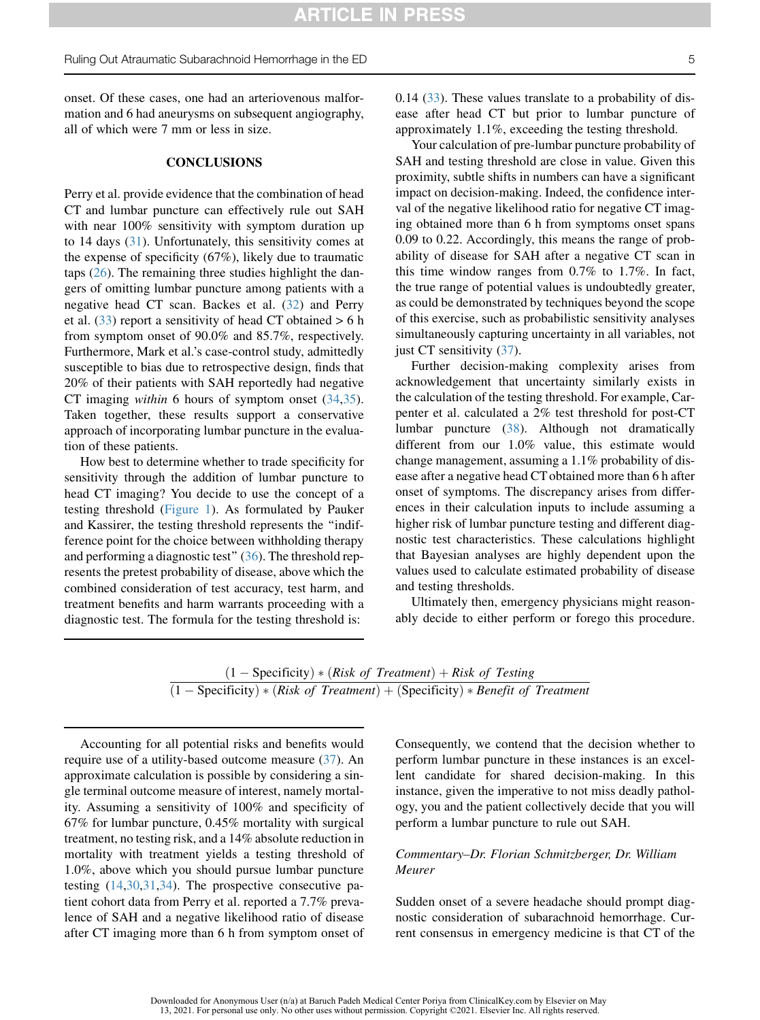onset. Of these cases, one had an arteriovenous malformation and 6 had aneurysms on subsequent angiography, all of which were 7 mm or less in size.

### **CONCLUSIONS**

Perry et al. provide evidence that the combination of head CT and lumbar puncture can effectively rule out SAH with near 100% sensitivity with symptom duration up to 14 days ([31\)](#page-6-9). Unfortunately, this sensitivity comes at the expense of specificity (67%), likely due to traumatic taps [\(26](#page-6-13)). The remaining three studies highlight the dangers of omitting lumbar puncture among patients with a negative head CT scan. Backes et al. [\(32](#page-6-10)) and Perry et al.  $(33)$  $(33)$  report a sensitivity of head CT obtained  $> 6$  h from symptom onset of 90.0% and 85.7%, respectively. Furthermore, Mark et al.'s case-control study, admittedly susceptible to bias due to retrospective design, finds that 20% of their patients with SAH reportedly had negative CT imaging within 6 hours of symptom onset ([34,](#page-6-12)[35](#page-6-14)). Taken together, these results support a conservative approach of incorporating lumbar puncture in the evaluation of these patients.

How best to determine whether to trade specificity for sensitivity through the addition of lumbar puncture to head CT imaging? You decide to use the concept of a testing threshold ([Figure 1](#page-3-0)). As formulated by Pauker and Kassirer, the testing threshold represents the ''indifference point for the choice between withholding therapy and performing a diagnostic test"  $(36)$  $(36)$ . The threshold represents the pretest probability of disease, above which the combined consideration of test accuracy, test harm, and treatment benefits and harm warrants proceeding with a diagnostic test. The formula for the testing threshold is:

0.14 ([33\)](#page-6-11). These values translate to a probability of disease after head CT but prior to lumbar puncture of approximately 1.1%, exceeding the testing threshold.

Your calculation of pre-lumbar puncture probability of SAH and testing threshold are close in value. Given this proximity, subtle shifts in numbers can have a significant impact on decision-making. Indeed, the confidence interval of the negative likelihood ratio for negative CT imaging obtained more than 6 h from symptoms onset spans 0.09 to 0.22. Accordingly, this means the range of probability of disease for SAH after a negative CT scan in this time window ranges from 0.7% to 1.7%. In fact, the true range of potential values is undoubtedly greater, as could be demonstrated by techniques beyond the scope of this exercise, such as probabilistic sensitivity analyses simultaneously capturing uncertainty in all variables, not just CT sensitivity ([37\)](#page-6-16).

Further decision-making complexity arises from acknowledgement that uncertainty similarly exists in the calculation of the testing threshold. For example, Carpenter et al. calculated a 2% test threshold for post-CT lumbar puncture [\(38](#page-6-17)). Although not dramatically different from our 1.0% value, this estimate would change management, assuming a 1.1% probability of disease after a negative head CT obtained more than 6 h after onset of symptoms. The discrepancy arises from differences in their calculation inputs to include assuming a higher risk of lumbar puncture testing and different diagnostic test characteristics. These calculations highlight that Bayesian analyses are highly dependent upon the values used to calculate estimated probability of disease and testing thresholds.

Ultimately then, emergency physicians might reasonably decide to either perform or forego this procedure.

$$
\frac{(1 - \text{Specificity}) * (Risk of Treatment) + Risk of Testing}{(1 - \text{Specificity}) * (Risk of Treatment) + (\text{Specificity}) * Benefit of Treatment}
$$

Accounting for all potential risks and benefits would require use of a utility-based outcome measure [\(37](#page-6-16)). An approximate calculation is possible by considering a single terminal outcome measure of interest, namely mortality. Assuming a sensitivity of 100% and specificity of 67% for lumbar puncture, 0.45% mortality with surgical treatment, no testing risk, and a 14% absolute reduction in mortality with treatment yields a testing threshold of 1.0%, above which you should pursue lumbar puncture testing [\(14](#page-6-0),[30](#page-6-8)[,31](#page-6-9),[34\)](#page-6-12). The prospective consecutive patient cohort data from Perry et al. reported a 7.7% prevalence of SAH and a negative likelihood ratio of disease after CT imaging more than 6 h from symptom onset of Consequently, we contend that the decision whether to perform lumbar puncture in these instances is an excellent candidate for shared decision-making. In this instance, given the imperative to not miss deadly pathology, you and the patient collectively decide that you will perform a lumbar puncture to rule out SAH.

# Commentary–Dr. Florian Schmitzberger, Dr. William Meurer

Sudden onset of a severe headache should prompt diagnostic consideration of subarachnoid hemorrhage. Current consensus in emergency medicine is that CT of the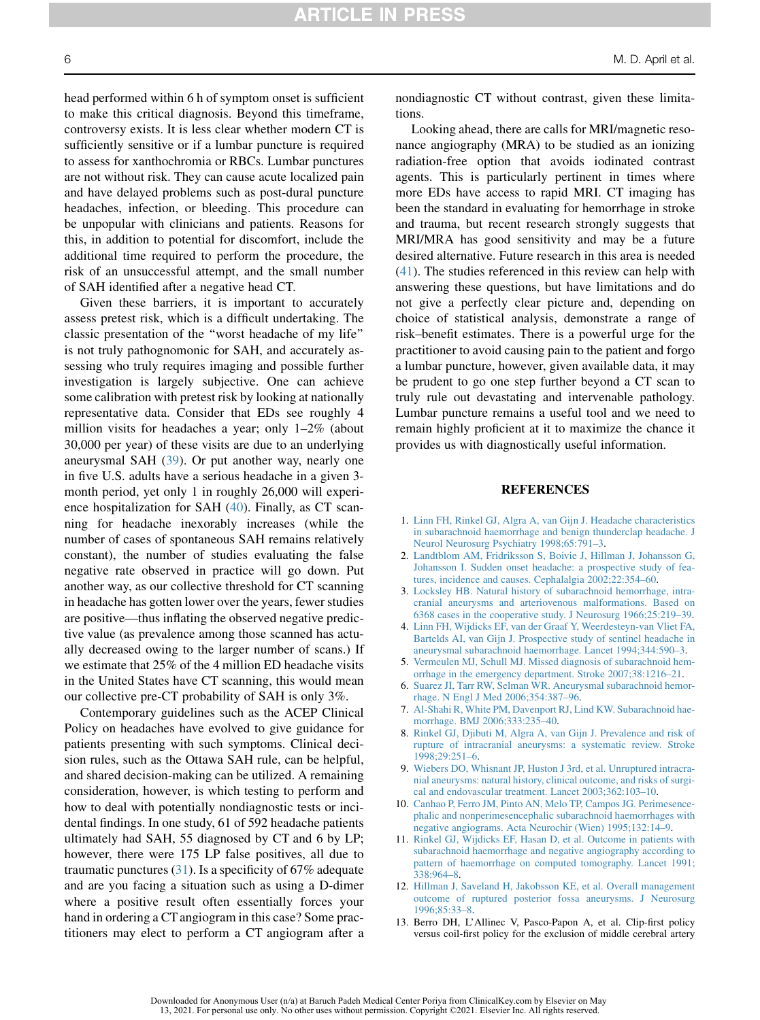head performed within 6 h of symptom onset is sufficient to make this critical diagnosis. Beyond this timeframe, controversy exists. It is less clear whether modern CT is sufficiently sensitive or if a lumbar puncture is required to assess for xanthochromia or RBCs. Lumbar punctures are not without risk. They can cause acute localized pain and have delayed problems such as post-dural puncture headaches, infection, or bleeding. This procedure can be unpopular with clinicians and patients. Reasons for this, in addition to potential for discomfort, include the additional time required to perform the procedure, the risk of an unsuccessful attempt, and the small number of SAH identified after a negative head CT.

Given these barriers, it is important to accurately assess pretest risk, which is a difficult undertaking. The classic presentation of the ''worst headache of my life'' is not truly pathognomonic for SAH, and accurately assessing who truly requires imaging and possible further investigation is largely subjective. One can achieve some calibration with pretest risk by looking at nationally representative data. Consider that EDs see roughly 4 million visits for headaches a year; only 1–2% (about 30,000 per year) of these visits are due to an underlying aneurysmal SAH ([39\)](#page-6-18). Or put another way, nearly one in five U.S. adults have a serious headache in a given 3 month period, yet only 1 in roughly 26,000 will experience hospitalization for SAH ([40](#page-6-19)). Finally, as CT scanning for headache inexorably increases (while the number of cases of spontaneous SAH remains relatively constant), the number of studies evaluating the false negative rate observed in practice will go down. Put another way, as our collective threshold for CT scanning in headache has gotten lower over the years, fewer studies are positive—thus inflating the observed negative predictive value (as prevalence among those scanned has actually decreased owing to the larger number of scans.) If we estimate that 25% of the 4 million ED headache visits in the United States have CT scanning, this would mean our collective pre-CT probability of SAH is only 3%.

Contemporary guidelines such as the ACEP Clinical Policy on headaches have evolved to give guidance for patients presenting with such symptoms. Clinical decision rules, such as the Ottawa SAH rule, can be helpful, and shared decision-making can be utilized. A remaining consideration, however, is which testing to perform and how to deal with potentially nondiagnostic tests or incidental findings. In one study, 61 of 592 headache patients ultimately had SAH, 55 diagnosed by CT and 6 by LP; however, there were 175 LP false positives, all due to traumatic punctures [\(31](#page-6-9)). Is a specificity of 67% adequate and are you facing a situation such as using a D-dimer where a positive result often essentially forces your hand in ordering a CT angiogram in this case? Some practitioners may elect to perform a CT angiogram after a nondiagnostic CT without contrast, given these limitations.

Looking ahead, there are calls for MRI/magnetic resonance angiography (MRA) to be studied as an ionizing radiation-free option that avoids iodinated contrast agents. This is particularly pertinent in times where more EDs have access to rapid MRI. CT imaging has been the standard in evaluating for hemorrhage in stroke and trauma, but recent research strongly suggests that MRI/MRA has good sensitivity and may be a future desired alternative. Future research in this area is needed [\(41](#page-6-20)). The studies referenced in this review can help with answering these questions, but have limitations and do not give a perfectly clear picture and, depending on choice of statistical analysis, demonstrate a range of risk–benefit estimates. There is a powerful urge for the practitioner to avoid causing pain to the patient and forgo a lumbar puncture, however, given available data, it may be prudent to go one step further beyond a CT scan to truly rule out devastating and intervenable pathology. Lumbar puncture remains a useful tool and we need to remain highly proficient at it to maximize the chance it provides us with diagnostically useful information.

#### REFERENCES

- <span id="page-5-0"></span>1. [Linn FH, Rinkel GJ, Algra A, van Gijn J. Headache characteristics](http://refhub.elsevier.com/S0736-4679(21)00099-8/sref1) [in subarachnoid haemorrhage and benign thunderclap headache. J](http://refhub.elsevier.com/S0736-4679(21)00099-8/sref1) [Neurol Neurosurg Psychiatry 1998;65:791–3.](http://refhub.elsevier.com/S0736-4679(21)00099-8/sref1)
- <span id="page-5-1"></span>2. [Landtblom AM, Fridriksson S, Boivie J, Hillman J, Johansson G,](http://refhub.elsevier.com/S0736-4679(21)00099-8/sref2) [Johansson I. Sudden onset headache: a prospective study of fea](http://refhub.elsevier.com/S0736-4679(21)00099-8/sref2)[tures, incidence and causes. Cephalalgia 2002;22:354–60.](http://refhub.elsevier.com/S0736-4679(21)00099-8/sref2)
- <span id="page-5-2"></span>3. [Locksley HB. Natural history of subarachnoid hemorrhage, intra](http://refhub.elsevier.com/S0736-4679(21)00099-8/sref3)[cranial aneurysms and arteriovenous malformations. Based on](http://refhub.elsevier.com/S0736-4679(21)00099-8/sref3) [6368 cases in the cooperative study. J Neurosurg 1966;25:219–39.](http://refhub.elsevier.com/S0736-4679(21)00099-8/sref3)
- <span id="page-5-3"></span>4. [Linn FH, Wijdicks EF, van der Graaf Y, Weerdesteyn-van Vliet FA,](http://refhub.elsevier.com/S0736-4679(21)00099-8/sref4) [Bartelds AI, van Gijn J. Prospective study of sentinel headache in](http://refhub.elsevier.com/S0736-4679(21)00099-8/sref4) [aneurysmal subarachnoid haemorrhage. Lancet 1994;344:590–3](http://refhub.elsevier.com/S0736-4679(21)00099-8/sref4).
- <span id="page-5-5"></span><span id="page-5-4"></span>5. [Vermeulen MJ, Schull MJ. Missed diagnosis of subarachnoid hem](http://refhub.elsevier.com/S0736-4679(21)00099-8/sref5)[orrhage in the emergency department. Stroke 2007;38:1216–21](http://refhub.elsevier.com/S0736-4679(21)00099-8/sref5).
- <span id="page-5-6"></span>6. [Suarez JI, Tarr RW, Selman WR. Aneurysmal subarachnoid hemor](http://refhub.elsevier.com/S0736-4679(21)00099-8/sref6)[rhage. N Engl J Med 2006;354:387–96](http://refhub.elsevier.com/S0736-4679(21)00099-8/sref6).
- <span id="page-5-7"></span>7. [Al-Shahi R, White PM, Davenport RJ, Lind KW. Subarachnoid hae](http://refhub.elsevier.com/S0736-4679(21)00099-8/sref7)[morrhage. BMJ 2006;333:235–40](http://refhub.elsevier.com/S0736-4679(21)00099-8/sref7).
- 8. [Rinkel GJ, Djibuti M, Algra A, van Gijn J. Prevalence and risk of](http://refhub.elsevier.com/S0736-4679(21)00099-8/sref8) [rupture of intracranial aneurysms: a systematic review. Stroke](http://refhub.elsevier.com/S0736-4679(21)00099-8/sref8) [1998;29:251–6.](http://refhub.elsevier.com/S0736-4679(21)00099-8/sref8)
- <span id="page-5-8"></span>9. [Wiebers DO, Whisnant JP, Huston J 3rd, et al. Unruptured intracra](http://refhub.elsevier.com/S0736-4679(21)00099-8/sref9)[nial aneurysms: natural history, clinical outcome, and risks of surgi](http://refhub.elsevier.com/S0736-4679(21)00099-8/sref9)[cal and endovascular treatment. Lancet 2003;362:103–10.](http://refhub.elsevier.com/S0736-4679(21)00099-8/sref9)
- <span id="page-5-9"></span>10. [Canhao P, Ferro JM, Pinto AN, Melo TP, Campos JG. Perimesence](http://refhub.elsevier.com/S0736-4679(21)00099-8/sref10)[phalic and nonperimesencephalic subarachnoid haemorrhages with](http://refhub.elsevier.com/S0736-4679(21)00099-8/sref10) [negative angiograms. Acta Neurochir \(Wien\) 1995;132:14–9.](http://refhub.elsevier.com/S0736-4679(21)00099-8/sref10)
- 11. [Rinkel GJ, Wijdicks EF, Hasan D, et al. Outcome in patients with](http://refhub.elsevier.com/S0736-4679(21)00099-8/sref11) [subarachnoid haemorrhage and negative angiography according to](http://refhub.elsevier.com/S0736-4679(21)00099-8/sref11) [pattern of haemorrhage on computed tomography. Lancet 1991;](http://refhub.elsevier.com/S0736-4679(21)00099-8/sref11) [338:964–8.](http://refhub.elsevier.com/S0736-4679(21)00099-8/sref11)
- 12. [Hillman J, Saveland H, Jakobsson KE, et al. Overall management](http://refhub.elsevier.com/S0736-4679(21)00099-8/sref12) [outcome of ruptured posterior fossa aneurysms. J Neurosurg](http://refhub.elsevier.com/S0736-4679(21)00099-8/sref12) [1996;85:33–8.](http://refhub.elsevier.com/S0736-4679(21)00099-8/sref12)
- <span id="page-5-10"></span>13. Berro DH, L'Allinec V, Pasco-Papon A, et al. Clip-first policy versus coil-first policy for the exclusion of middle cerebral artery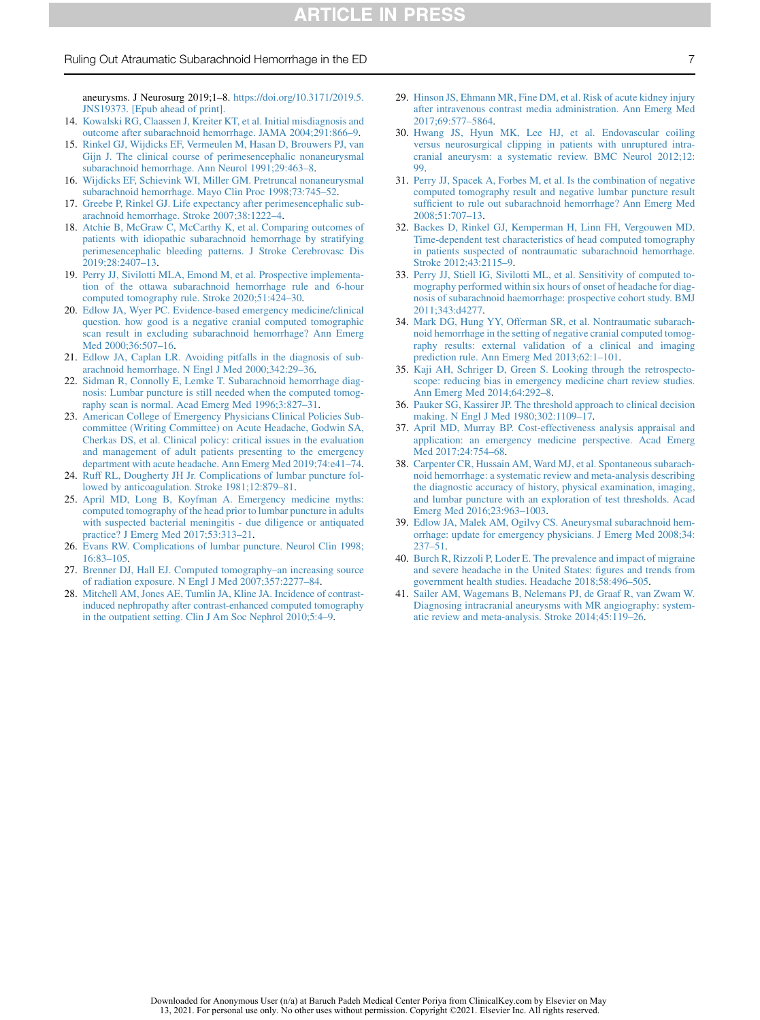13, 2021. For personal use only. No other uses without permission. Copyright ©2021. Elsevier Inc. All rights reserved.

# Ruling Out Atraumatic Subarachnoid Hemorrhage in the ED 7

aneurysms. J Neurosurg 2019;1–8. [https://doi.org/10.3171/2019.5.](https://doi.org/10.3171/2019.5.JNS19373) [JNS19373. \[Epub ahead of print\].](https://doi.org/10.3171/2019.5.JNS19373)

- <span id="page-6-0"></span>14. [Kowalski RG, Claassen J, Kreiter KT, et al. Initial misdiagnosis and](http://refhub.elsevier.com/S0736-4679(21)00099-8/sref14) [outcome after subarachnoid hemorrhage. JAMA 2004;291:866–9.](http://refhub.elsevier.com/S0736-4679(21)00099-8/sref14)
- <span id="page-6-1"></span>15. [Rinkel GJ, Wijdicks EF, Vermeulen M, Hasan D, Brouwers PJ, van](http://refhub.elsevier.com/S0736-4679(21)00099-8/sref15) [Gijn J. The clinical course of perimesencephalic nonaneurysmal](http://refhub.elsevier.com/S0736-4679(21)00099-8/sref15) [subarachnoid hemorrhage. Ann Neurol 1991;29:463–8.](http://refhub.elsevier.com/S0736-4679(21)00099-8/sref15)
- 16. [Wijdicks EF, Schievink WI, Miller GM. Pretruncal nonaneurysmal](http://refhub.elsevier.com/S0736-4679(21)00099-8/sref16) [subarachnoid hemorrhage. Mayo Clin Proc 1998;73:745–52](http://refhub.elsevier.com/S0736-4679(21)00099-8/sref16).
- 17. [Greebe P, Rinkel GJ. Life expectancy after perimesencephalic sub](http://refhub.elsevier.com/S0736-4679(21)00099-8/sref17)[arachnoid hemorrhage. Stroke 2007;38:1222–4.](http://refhub.elsevier.com/S0736-4679(21)00099-8/sref17)
- <span id="page-6-2"></span>18. [Atchie B, McGraw C, McCarthy K, et al. Comparing outcomes of](http://refhub.elsevier.com/S0736-4679(21)00099-8/sref18) [patients with idiopathic subarachnoid hemorrhage by stratifying](http://refhub.elsevier.com/S0736-4679(21)00099-8/sref18) [perimesencephalic bleeding patterns. J Stroke Cerebrovasc Dis](http://refhub.elsevier.com/S0736-4679(21)00099-8/sref18)  $2019;28:2407-13.$
- <span id="page-6-3"></span>19. [Perry JJ, Sivilotti MLA, Emond M, et al. Prospective implementa](http://refhub.elsevier.com/S0736-4679(21)00099-8/sref19)[tion of the ottawa subarachnoid hemorrhage rule and 6-hour](http://refhub.elsevier.com/S0736-4679(21)00099-8/sref19) [computed tomography rule. Stroke 2020;51:424–30.](http://refhub.elsevier.com/S0736-4679(21)00099-8/sref19)
- <span id="page-6-4"></span>20. [Edlow JA, Wyer PC. Evidence-based emergency medicine/clinical](http://refhub.elsevier.com/S0736-4679(21)00099-8/sref20) [question. how good is a negative cranial computed tomographic](http://refhub.elsevier.com/S0736-4679(21)00099-8/sref20) [scan result in excluding subarachnoid hemorrhage? Ann Emerg](http://refhub.elsevier.com/S0736-4679(21)00099-8/sref20) [Med 2000;36:507–16.](http://refhub.elsevier.com/S0736-4679(21)00099-8/sref20)
- 21. [Edlow JA, Caplan LR. Avoiding pitfalls in the diagnosis of sub](http://refhub.elsevier.com/S0736-4679(21)00099-8/sref21)[arachnoid hemorrhage. N Engl J Med 2000;342:29–36](http://refhub.elsevier.com/S0736-4679(21)00099-8/sref21).
- 22. [Sidman R, Connolly E, Lemke T. Subarachnoid hemorrhage diag](http://refhub.elsevier.com/S0736-4679(21)00099-8/sref22)[nosis: Lumbar puncture is still needed when the computed tomog](http://refhub.elsevier.com/S0736-4679(21)00099-8/sref22)[raphy scan is normal. Acad Emerg Med 1996;3:827–31](http://refhub.elsevier.com/S0736-4679(21)00099-8/sref22).
- <span id="page-6-5"></span>23. [American College of Emergency Physicians Clinical Policies Sub](http://refhub.elsevier.com/S0736-4679(21)00099-8/sref23)[committee \(Writing Committee\) on Acute Headache, Godwin SA,](http://refhub.elsevier.com/S0736-4679(21)00099-8/sref23) [Cherkas DS, et al. Clinical policy: critical issues in the evaluation](http://refhub.elsevier.com/S0736-4679(21)00099-8/sref23) [and management of adult patients presenting to the emergency](http://refhub.elsevier.com/S0736-4679(21)00099-8/sref23) [department with acute headache. Ann Emerg Med 2019;74:e41–74](http://refhub.elsevier.com/S0736-4679(21)00099-8/sref23).
- <span id="page-6-6"></span>24. [Ruff RL, Dougherty JH Jr. Complications of lumbar puncture fol](http://refhub.elsevier.com/S0736-4679(21)00099-8/sref24)[lowed by anticoagulation. Stroke 1981;12:879–81.](http://refhub.elsevier.com/S0736-4679(21)00099-8/sref24)
- 25. [April MD, Long B, Koyfman A. Emergency medicine myths:](http://refhub.elsevier.com/S0736-4679(21)00099-8/sref25) [computed tomography of the head prior to lumbar puncture in adults](http://refhub.elsevier.com/S0736-4679(21)00099-8/sref25) [with suspected bacterial meningitis - due diligence or antiquated](http://refhub.elsevier.com/S0736-4679(21)00099-8/sref25) [practice? J Emerg Med 2017;53:313–21](http://refhub.elsevier.com/S0736-4679(21)00099-8/sref25).
- <span id="page-6-13"></span>26. [Evans RW. Complications of lumbar puncture. Neurol Clin 1998;](http://refhub.elsevier.com/S0736-4679(21)00099-8/sref26) [16:83–105.](http://refhub.elsevier.com/S0736-4679(21)00099-8/sref26)
- <span id="page-6-7"></span>27. [Brenner DJ, Hall EJ. Computed tomography–an increasing source](http://refhub.elsevier.com/S0736-4679(21)00099-8/sref27) [of radiation exposure. N Engl J Med 2007;357:2277–84](http://refhub.elsevier.com/S0736-4679(21)00099-8/sref27).
- 28. [Mitchell AM, Jones AE, Tumlin JA, Kline JA. Incidence of contrast](http://refhub.elsevier.com/S0736-4679(21)00099-8/sref28)[induced nephropathy after contrast-enhanced computed tomography](http://refhub.elsevier.com/S0736-4679(21)00099-8/sref28) [in the outpatient setting. Clin J Am Soc Nephrol 2010;5:4–9](http://refhub.elsevier.com/S0736-4679(21)00099-8/sref28).
- 29. [Hinson JS, Ehmann MR, Fine DM, et al. Risk of acute kidney injury](http://refhub.elsevier.com/S0736-4679(21)00099-8/sref29) [after intravenous contrast media administration. Ann Emerg Med](http://refhub.elsevier.com/S0736-4679(21)00099-8/sref29) [2017;69:577–5864.](http://refhub.elsevier.com/S0736-4679(21)00099-8/sref29)
- <span id="page-6-8"></span>30. [Hwang JS, Hyun MK, Lee HJ, et al. Endovascular coiling](http://refhub.elsevier.com/S0736-4679(21)00099-8/sref30) [versus neurosurgical clipping in patients with unruptured intra](http://refhub.elsevier.com/S0736-4679(21)00099-8/sref30)[cranial aneurysm: a systematic review. BMC Neurol 2012;12:](http://refhub.elsevier.com/S0736-4679(21)00099-8/sref30) [99.](http://refhub.elsevier.com/S0736-4679(21)00099-8/sref30)
- <span id="page-6-9"></span>31. [Perry JJ, Spacek A, Forbes M, et al. Is the combination of negative](http://refhub.elsevier.com/S0736-4679(21)00099-8/sref31) [computed tomography result and negative lumbar puncture result](http://refhub.elsevier.com/S0736-4679(21)00099-8/sref31) [sufficient to rule out subarachnoid hemorrhage? Ann Emerg Med](http://refhub.elsevier.com/S0736-4679(21)00099-8/sref31) [2008;51:707–13.](http://refhub.elsevier.com/S0736-4679(21)00099-8/sref31)
- <span id="page-6-10"></span>32. [Backes D, Rinkel GJ, Kemperman H, Linn FH, Vergouwen MD.](http://refhub.elsevier.com/S0736-4679(21)00099-8/sref32) [Time-dependent test characteristics of head computed tomography](http://refhub.elsevier.com/S0736-4679(21)00099-8/sref32) [in patients suspected of nontraumatic subarachnoid hemorrhage.](http://refhub.elsevier.com/S0736-4679(21)00099-8/sref32) [Stroke 2012;43:2115–9.](http://refhub.elsevier.com/S0736-4679(21)00099-8/sref32)
- <span id="page-6-11"></span>33. [Perry JJ, Stiell IG, Sivilotti ML, et al. Sensitivity of computed to](http://refhub.elsevier.com/S0736-4679(21)00099-8/sref33)[mography performed within six hours of onset of headache for diag](http://refhub.elsevier.com/S0736-4679(21)00099-8/sref33)[nosis of subarachnoid haemorrhage: prospective cohort study. BMJ](http://refhub.elsevier.com/S0736-4679(21)00099-8/sref33) [2011;343:d4277.](http://refhub.elsevier.com/S0736-4679(21)00099-8/sref33)
- <span id="page-6-12"></span>34. [Mark DG, Hung YY, Offerman SR, et al. Nontraumatic subarach](http://refhub.elsevier.com/S0736-4679(21)00099-8/sref34)[noid hemorrhage in the setting of negative cranial computed tomog](http://refhub.elsevier.com/S0736-4679(21)00099-8/sref34)[raphy results: external validation of a clinical and imaging](http://refhub.elsevier.com/S0736-4679(21)00099-8/sref34) [prediction rule. Ann Emerg Med 2013;62:1–101](http://refhub.elsevier.com/S0736-4679(21)00099-8/sref34).
- <span id="page-6-14"></span>35. [Kaji AH, Schriger D, Green S. Looking through the retrospecto](http://refhub.elsevier.com/S0736-4679(21)00099-8/sref35)[scope: reducing bias in emergency medicine chart review studies.](http://refhub.elsevier.com/S0736-4679(21)00099-8/sref35) [Ann Emerg Med 2014;64:292–8](http://refhub.elsevier.com/S0736-4679(21)00099-8/sref35).
- <span id="page-6-15"></span>36. [Pauker SG, Kassirer JP. The threshold approach to clinical decision](http://refhub.elsevier.com/S0736-4679(21)00099-8/sref36) [making. N Engl J Med 1980;302:1109–17](http://refhub.elsevier.com/S0736-4679(21)00099-8/sref36).
- <span id="page-6-16"></span>37. [April MD, Murray BP. Cost-effectiveness analysis appraisal and](http://refhub.elsevier.com/S0736-4679(21)00099-8/sref37) [application: an emergency medicine perspective. Acad Emerg](http://refhub.elsevier.com/S0736-4679(21)00099-8/sref37) [Med 2017;24:754–68.](http://refhub.elsevier.com/S0736-4679(21)00099-8/sref37)
- <span id="page-6-17"></span>38. [Carpenter CR, Hussain AM, Ward MJ, et al. Spontaneous subarach](http://refhub.elsevier.com/S0736-4679(21)00099-8/sref38)[noid hemorrhage: a systematic review and meta-analysis describing](http://refhub.elsevier.com/S0736-4679(21)00099-8/sref38) [the diagnostic accuracy of history, physical examination, imaging,](http://refhub.elsevier.com/S0736-4679(21)00099-8/sref38) [and lumbar puncture with an exploration of test thresholds. Acad](http://refhub.elsevier.com/S0736-4679(21)00099-8/sref38) [Emerg Med 2016;23:963–1003](http://refhub.elsevier.com/S0736-4679(21)00099-8/sref38).
- <span id="page-6-18"></span>39. [Edlow JA, Malek AM, Ogilvy CS. Aneurysmal subarachnoid hem](http://refhub.elsevier.com/S0736-4679(21)00099-8/sref39)[orrhage: update for emergency physicians. J Emerg Med 2008;34:](http://refhub.elsevier.com/S0736-4679(21)00099-8/sref39) [237–51](http://refhub.elsevier.com/S0736-4679(21)00099-8/sref39).
- <span id="page-6-19"></span>40. [Burch R, Rizzoli P, Loder E. The prevalence and impact of migraine](http://refhub.elsevier.com/S0736-4679(21)00099-8/sref40) [and severe headache in the United States: figures and trends from](http://refhub.elsevier.com/S0736-4679(21)00099-8/sref40) [government health studies. Headache 2018;58:496–505.](http://refhub.elsevier.com/S0736-4679(21)00099-8/sref40)
- <span id="page-6-20"></span>41. [Sailer AM, Wagemans B, Nelemans PJ, de Graaf R, van Zwam W.](http://refhub.elsevier.com/S0736-4679(21)00099-8/sref41) [Diagnosing intracranial aneurysms with MR angiography: system](http://refhub.elsevier.com/S0736-4679(21)00099-8/sref41)[atic review and meta-analysis. Stroke 2014;45:119–26](http://refhub.elsevier.com/S0736-4679(21)00099-8/sref41).

Downloaded for Anonymous User (n/a) at Baruch Padeh Medical Center Poriya from ClinicalKey.com by Elsevier on May